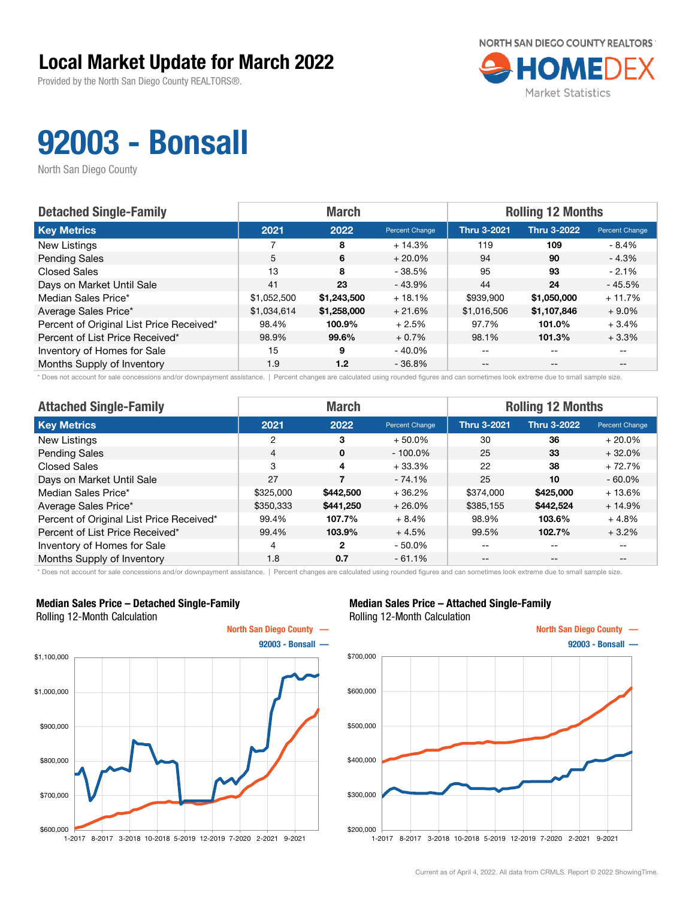Provided by the North San Diego County REALTORS®.



## 92003 - Bonsall

North San Diego County

| <b>Detached Single-Family</b>            | <b>March</b> |             |                | <b>Rolling 12 Months</b> |                    |                       |
|------------------------------------------|--------------|-------------|----------------|--------------------------|--------------------|-----------------------|
| <b>Key Metrics</b>                       | 2021         | 2022        | Percent Change | <b>Thru 3-2021</b>       | <b>Thru 3-2022</b> | <b>Percent Change</b> |
| New Listings                             |              | 8           | $+14.3%$       | 119                      | 109                | $-8.4\%$              |
| <b>Pending Sales</b>                     | 5            | 6           | $+20.0\%$      | 94                       | 90                 | $-4.3%$               |
| <b>Closed Sales</b>                      | 13           | 8           | - 38.5%        | 95                       | 93                 | $-2.1%$               |
| Days on Market Until Sale                | 41           | 23          | $-43.9%$       | 44                       | 24                 | $-45.5%$              |
| Median Sales Price*                      | \$1,052,500  | \$1,243,500 | $+18.1%$       | \$939,900                | \$1,050,000        | $+11.7%$              |
| Average Sales Price*                     | \$1,034,614  | \$1,258,000 | $+21.6%$       | \$1,016,506              | \$1,107,846        | $+9.0\%$              |
| Percent of Original List Price Received* | 98.4%        | 100.9%      | $+2.5%$        | 97.7%                    | 101.0%             | $+3.4%$               |
| Percent of List Price Received*          | 98.9%        | 99.6%       | $+0.7%$        | 98.1%                    | 101.3%             | $+3.3%$               |
| Inventory of Homes for Sale              | 15           | 9           | $-40.0\%$      | --                       | --                 |                       |
| Months Supply of Inventory               | 1.9          | 1.2         | $-36.8%$       | --                       | $-$                | $- -$                 |

\* Does not account for sale concessions and/or downpayment assistance. | Percent changes are calculated using rounded figures and can sometimes look extreme due to small sample size.

| <b>Attached Single-Family</b>            |                | <b>March</b> |                | <b>Rolling 12 Months</b> |                    |                |  |
|------------------------------------------|----------------|--------------|----------------|--------------------------|--------------------|----------------|--|
| <b>Key Metrics</b>                       | 2021           | 2022         | Percent Change | <b>Thru 3-2021</b>       | <b>Thru 3-2022</b> | Percent Change |  |
| New Listings                             | 2              | 3            | $+50.0\%$      | 30                       | 36                 | $+20.0\%$      |  |
| <b>Pending Sales</b>                     | $\overline{4}$ | $\mathbf{0}$ | $-100.0\%$     | 25                       | 33                 | $+32.0%$       |  |
| <b>Closed Sales</b>                      | 3              | 4            | $+33.3%$       | 22                       | 38                 | $+72.7%$       |  |
| Days on Market Until Sale                | 27             |              | $-74.1%$       | 25                       | 10                 | $-60.0\%$      |  |
| Median Sales Price*                      | \$325,000      | \$442,500    | $+36.2%$       | \$374,000                | \$425,000          | $+13.6%$       |  |
| Average Sales Price*                     | \$350,333      | \$441,250    | $+26.0%$       | \$385,155                | \$442,524          | $+14.9%$       |  |
| Percent of Original List Price Received* | 99.4%          | 107.7%       | $+8.4%$        | 98.9%                    | 103.6%             | $+4.8%$        |  |
| Percent of List Price Received*          | 99.4%          | 103.9%       | $+4.5%$        | 99.5%                    | 102.7%             | $+3.2%$        |  |
| Inventory of Homes for Sale              | $\overline{4}$ | 2            | $-50.0%$       | --                       | $- -$              | $- -$          |  |
| Months Supply of Inventory               | 1.8            | 0.7          | $-61.1%$       | $- -$                    | $\qquad \qquad -$  | $- -$          |  |

\* Does not account for sale concessions and/or downpayment assistance. | Percent changes are calculated using rounded figures and can sometimes look extreme due to small sample size.

#### Median Sales Price – Detached Single-Family Rolling 12-Month Calculation



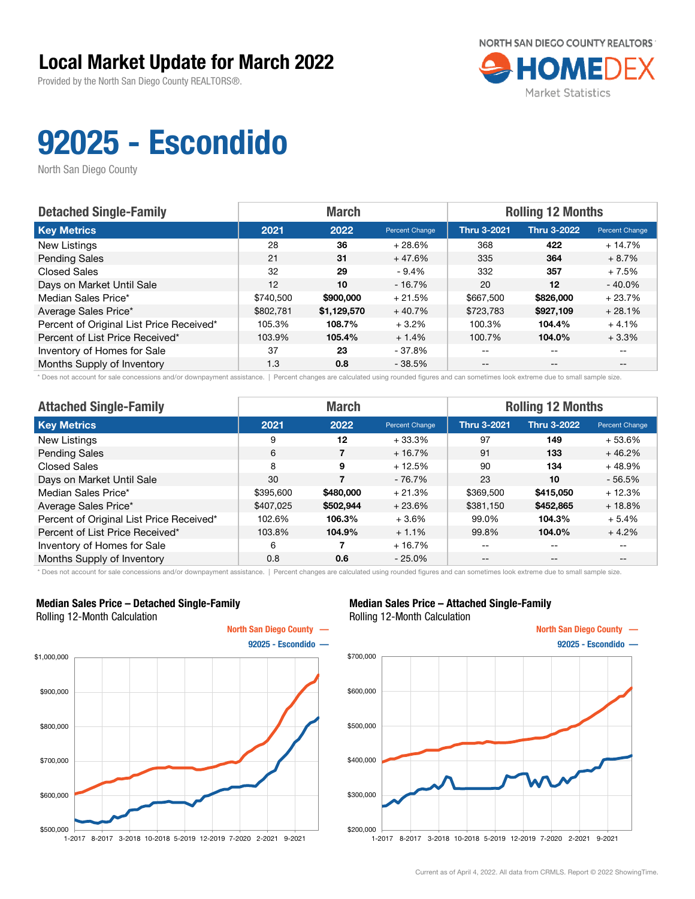Provided by the North San Diego County REALTORS®.



# 92025 - Escondido

North San Diego County

| <b>Detached Single-Family</b>            |           | <b>March</b> |                | <b>Rolling 12 Months</b> |                    |                       |  |
|------------------------------------------|-----------|--------------|----------------|--------------------------|--------------------|-----------------------|--|
| <b>Key Metrics</b>                       | 2021      | 2022         | Percent Change | <b>Thru 3-2021</b>       | <b>Thru 3-2022</b> | <b>Percent Change</b> |  |
| New Listings                             | 28        | 36           | $+28.6%$       | 368                      | 422                | $+14.7%$              |  |
| <b>Pending Sales</b>                     | 21        | 31           | $+47.6%$       | 335                      | 364                | $+8.7%$               |  |
| <b>Closed Sales</b>                      | 32        | 29           | $-9.4%$        | 332                      | 357                | $+7.5%$               |  |
| Days on Market Until Sale                | 12        | 10           | $-16.7%$       | 20                       | $12 \,$            | $-40.0\%$             |  |
| Median Sales Price*                      | \$740,500 | \$900,000    | $+21.5%$       | \$667,500                | \$826,000          | $+23.7%$              |  |
| Average Sales Price*                     | \$802,781 | \$1,129,570  | $+40.7%$       | \$723,783                | \$927,109          | $+28.1%$              |  |
| Percent of Original List Price Received* | 105.3%    | 108.7%       | $+3.2%$        | 100.3%                   | 104.4%             | $+4.1%$               |  |
| Percent of List Price Received*          | 103.9%    | 105.4%       | $+1.4%$        | 100.7%                   | 104.0%             | $+3.3%$               |  |
| Inventory of Homes for Sale              | 37        | 23           | - 37.8%        | $- -$                    | $\qquad \qquad -$  |                       |  |
| Months Supply of Inventory               | 1.3       | 0.8          | $-38.5%$       | $- -$                    | $- -$              |                       |  |

\* Does not account for sale concessions and/or downpayment assistance. | Percent changes are calculated using rounded figures and can sometimes look extreme due to small sample size.

| <b>Attached Single-Family</b>            |           | <b>March</b> |                | <b>Rolling 12 Months</b> |                    |                |  |
|------------------------------------------|-----------|--------------|----------------|--------------------------|--------------------|----------------|--|
| <b>Key Metrics</b>                       | 2021      | 2022         | Percent Change | <b>Thru 3-2021</b>       | <b>Thru 3-2022</b> | Percent Change |  |
| New Listings                             | 9         | 12           | $+33.3%$       | 97                       | 149                | $+53.6%$       |  |
| <b>Pending Sales</b>                     | 6         | 7            | $+16.7%$       | 91                       | 133                | $+46.2%$       |  |
| <b>Closed Sales</b>                      | 8         | 9            | $+12.5%$       | 90                       | 134                | $+48.9%$       |  |
| Days on Market Until Sale                | 30        |              | $-76.7\%$      | 23                       | 10                 | $-56.5%$       |  |
| Median Sales Price*                      | \$395,600 | \$480,000    | $+21.3%$       | \$369,500                | \$415,050          | $+12.3%$       |  |
| Average Sales Price*                     | \$407,025 | \$502,944    | $+23.6%$       | \$381,150                | \$452,865          | $+18.8%$       |  |
| Percent of Original List Price Received* | 102.6%    | 106.3%       | $+3.6%$        | 99.0%                    | 104.3%             | $+5.4%$        |  |
| Percent of List Price Received*          | 103.8%    | 104.9%       | $+1.1%$        | 99.8%                    | 104.0%             | $+4.2%$        |  |
| Inventory of Homes for Sale              | 6         |              | $+16.7%$       | --                       | $- -$              | $- -$          |  |
| Months Supply of Inventory               | 0.8       | 0.6          | $-25.0%$       | $- -$                    | $\qquad \qquad -$  | $- -$          |  |

\* Does not account for sale concessions and/or downpayment assistance. | Percent changes are calculated using rounded figures and can sometimes look extreme due to small sample size.

#### Median Sales Price – Detached Single-Family Rolling 12-Month Calculation



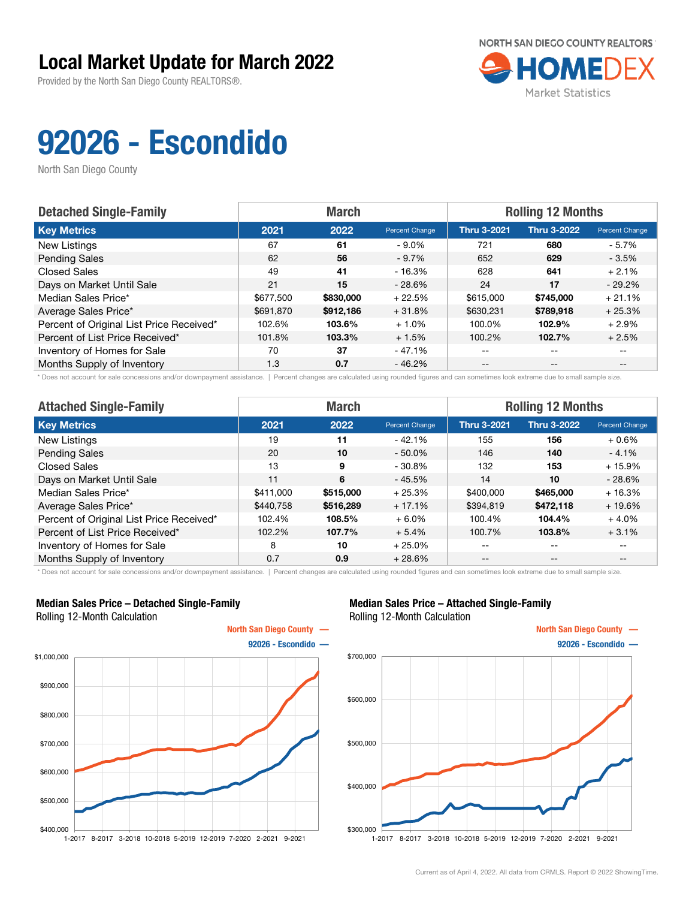Provided by the North San Diego County REALTORS®.



# 92026 - Escondido

North San Diego County

| <b>Detached Single-Family</b>            |           | <b>March</b> |                | <b>Rolling 12 Months</b> |                    |                       |  |
|------------------------------------------|-----------|--------------|----------------|--------------------------|--------------------|-----------------------|--|
| <b>Key Metrics</b>                       | 2021      | 2022         | Percent Change | <b>Thru 3-2021</b>       | <b>Thru 3-2022</b> | <b>Percent Change</b> |  |
| New Listings                             | 67        | 61           | $-9.0\%$       | 721                      | 680                | - 5.7%                |  |
| <b>Pending Sales</b>                     | 62        | 56           | $-9.7%$        | 652                      | 629                | $-3.5%$               |  |
| <b>Closed Sales</b>                      | 49        | 41           | - 16.3%        | 628                      | 641                | $+2.1%$               |  |
| Days on Market Until Sale                | 21        | 15           | $-28.6%$       | 24                       | 17                 | $-29.2\%$             |  |
| Median Sales Price*                      | \$677,500 | \$830,000    | $+22.5%$       | \$615,000                | \$745,000          | $+21.1%$              |  |
| Average Sales Price*                     | \$691,870 | \$912,186    | $+31.8%$       | \$630,231                | \$789,918          | $+25.3%$              |  |
| Percent of Original List Price Received* | 102.6%    | 103.6%       | $+1.0%$        | 100.0%                   | 102.9%             | $+2.9%$               |  |
| Percent of List Price Received*          | 101.8%    | 103.3%       | $+1.5%$        | 100.2%                   | 102.7%             | $+2.5%$               |  |
| Inventory of Homes for Sale              | 70        | 37           | - 47.1%        | $- -$                    | $-$                |                       |  |
| Months Supply of Inventory               | 1.3       | 0.7          | $-46.2%$       | $- -$                    | $- -$              |                       |  |

\* Does not account for sale concessions and/or downpayment assistance. | Percent changes are calculated using rounded figures and can sometimes look extreme due to small sample size.

| <b>Attached Single-Family</b>            |           | <b>March</b> |                | <b>Rolling 12 Months</b> |                    |                |  |
|------------------------------------------|-----------|--------------|----------------|--------------------------|--------------------|----------------|--|
| <b>Key Metrics</b>                       | 2021      | 2022         | Percent Change | <b>Thru 3-2021</b>       | <b>Thru 3-2022</b> | Percent Change |  |
| New Listings                             | 19        | 11           | $-42.1%$       | 155                      | 156                | $+0.6%$        |  |
| <b>Pending Sales</b>                     | 20        | 10           | $-50.0\%$      | 146                      | 140                | $-4.1%$        |  |
| Closed Sales                             | 13        | 9            | $-30.8%$       | 132                      | 153                | $+15.9%$       |  |
| Days on Market Until Sale                | 11        | 6            | $-45.5%$       | 14                       | 10                 | $-28.6%$       |  |
| Median Sales Price*                      | \$411,000 | \$515,000    | $+25.3%$       | \$400,000                | \$465,000          | $+16.3%$       |  |
| Average Sales Price*                     | \$440,758 | \$516,289    | $+17.1%$       | \$394,819                | \$472,118          | $+19.6%$       |  |
| Percent of Original List Price Received* | 102.4%    | 108.5%       | $+6.0%$        | 100.4%                   | 104.4%             | $+4.0%$        |  |
| Percent of List Price Received*          | 102.2%    | 107.7%       | $+5.4%$        | 100.7%                   | 103.8%             | $+3.1%$        |  |
| Inventory of Homes for Sale              | 8         | 10           | $+25.0%$       | --                       | $- -$              | $- -$          |  |
| Months Supply of Inventory               | 0.7       | 0.9          | $+28.6%$       | $- -$                    | $- -$              | $- -$          |  |

\* Does not account for sale concessions and/or downpayment assistance. | Percent changes are calculated using rounded figures and can sometimes look extreme due to small sample size.

#### Median Sales Price – Detached Single-Family Rolling 12-Month Calculation



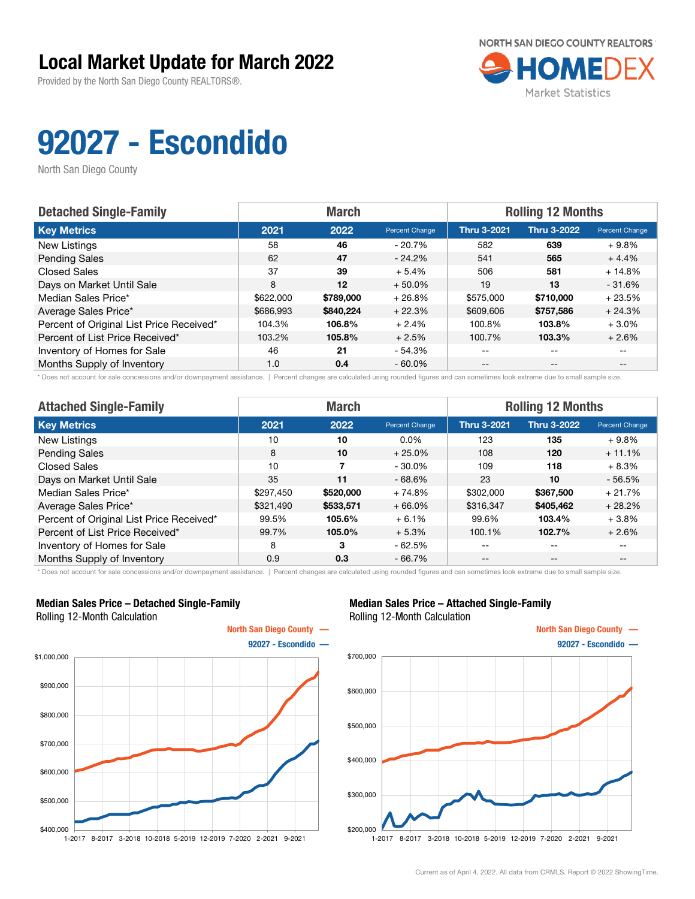Provided by the North San Diego County REALTORS®.



# 92027 - Escondido

North San Diego County

| <b>Detached Single-Family</b>            |           | <b>March</b> |                | <b>Rolling 12 Months</b> |                    |                       |  |
|------------------------------------------|-----------|--------------|----------------|--------------------------|--------------------|-----------------------|--|
| <b>Key Metrics</b>                       | 2021      | 2022         | Percent Change | <b>Thru 3-2021</b>       | <b>Thru 3-2022</b> | <b>Percent Change</b> |  |
| New Listings                             | 58        | 46           | $-20.7%$       | 582                      | 639                | $+9.8%$               |  |
| <b>Pending Sales</b>                     | 62        | 47           | $-24.2\%$      | 541                      | 565                | $+4.4%$               |  |
| <b>Closed Sales</b>                      | 37        | 39           | $+5.4%$        | 506                      | 581                | $+14.8%$              |  |
| Days on Market Until Sale                | 8         | 12           | $+50.0\%$      | 19                       | 13                 | $-31.6%$              |  |
| Median Sales Price*                      | \$622,000 | \$789,000    | $+26.8%$       | \$575,000                | \$710,000          | $+23.5%$              |  |
| Average Sales Price*                     | \$686,993 | \$840.224    | $+22.3%$       | \$609,606                | \$757,586          | $+24.3%$              |  |
| Percent of Original List Price Received* | 104.3%    | 106.8%       | $+2.4%$        | 100.8%                   | 103.8%             | $+3.0%$               |  |
| Percent of List Price Received*          | 103.2%    | 105.8%       | $+2.5%$        | 100.7%                   | 103.3%             | $+2.6%$               |  |
| Inventory of Homes for Sale              | 46        | 21           | - 54.3%        | $- -$                    | $\qquad \qquad -$  |                       |  |
| Months Supply of Inventory               | 1.0       | 0.4          | $-60.0\%$      | $- -$                    | $- -$              |                       |  |

\* Does not account for sale concessions and/or downpayment assistance. | Percent changes are calculated using rounded figures and can sometimes look extreme due to small sample size.

| <b>Attached Single-Family</b>            |           | <b>March</b> |                | <b>Rolling 12 Months</b> |                    |                |  |
|------------------------------------------|-----------|--------------|----------------|--------------------------|--------------------|----------------|--|
| <b>Key Metrics</b>                       | 2021      | 2022         | Percent Change | <b>Thru 3-2021</b>       | <b>Thru 3-2022</b> | Percent Change |  |
| New Listings                             | 10        | 10           | $0.0\%$        | 123                      | 135                | $+9.8%$        |  |
| <b>Pending Sales</b>                     | 8         | 10           | $+25.0%$       | 108                      | 120                | $+11.1%$       |  |
| <b>Closed Sales</b>                      | 10        |              | $-30.0\%$      | 109                      | 118                | $+8.3%$        |  |
| Days on Market Until Sale                | 35        | 11           | $-68.6%$       | 23                       | 10                 | $-56.5%$       |  |
| Median Sales Price*                      | \$297,450 | \$520,000    | $+74.8%$       | \$302,000                | \$367,500          | $+21.7%$       |  |
| Average Sales Price*                     | \$321,490 | \$533,571    | $+66.0%$       | \$316,347                | \$405,462          | $+28.2%$       |  |
| Percent of Original List Price Received* | 99.5%     | 105.6%       | $+6.1%$        | 99.6%                    | 103.4%             | $+3.8\%$       |  |
| Percent of List Price Received*          | 99.7%     | 105.0%       | $+5.3%$        | 100.1%                   | 102.7%             | $+2.6%$        |  |
| Inventory of Homes for Sale              | 8         | 3            | $-62.5%$       | --                       | $- -$              | $- -$          |  |
| Months Supply of Inventory               | 0.9       | 0.3          | $-66.7%$       | $- -$                    | $\qquad \qquad -$  | --             |  |

\* Does not account for sale concessions and/or downpayment assistance. | Percent changes are calculated using rounded figures and can sometimes look extreme due to small sample size.

#### Median Sales Price – Detached Single-Family Rolling 12-Month Calculation



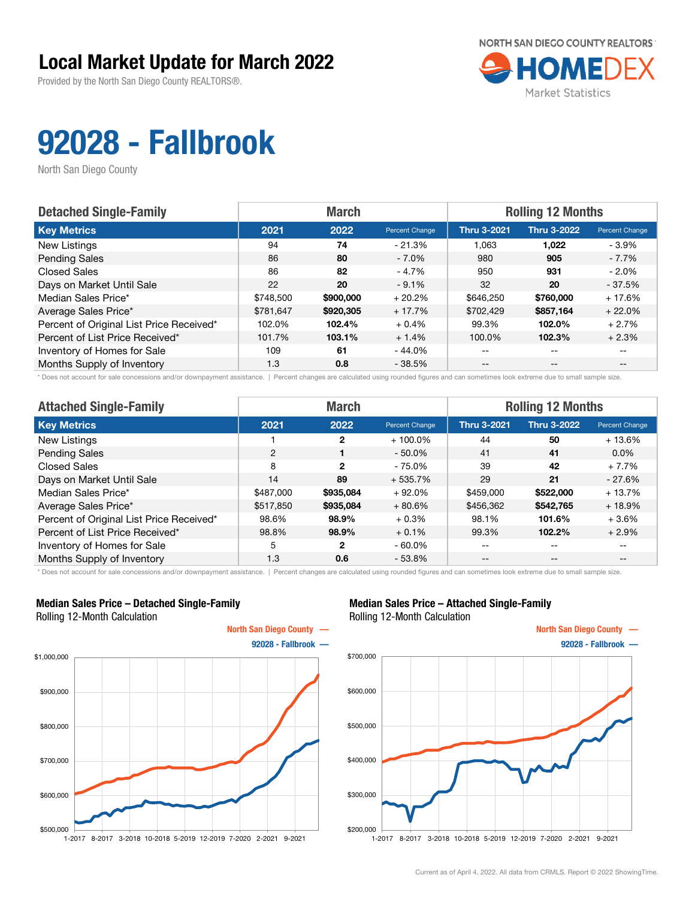Provided by the North San Diego County REALTORS®.



# 92028 - Fallbrook

North San Diego County

| <b>Detached Single-Family</b>            |           | <b>March</b> |                | <b>Rolling 12 Months</b> |                    |                       |  |
|------------------------------------------|-----------|--------------|----------------|--------------------------|--------------------|-----------------------|--|
| <b>Key Metrics</b>                       | 2021      | 2022         | Percent Change | <b>Thru 3-2021</b>       | <b>Thru 3-2022</b> | <b>Percent Change</b> |  |
| New Listings                             | 94        | 74           | $-21.3%$       | 1.063                    | 1,022              | - 3.9%                |  |
| <b>Pending Sales</b>                     | 86        | 80           | $-7.0\%$       | 980                      | 905                | - 7.7%                |  |
| <b>Closed Sales</b>                      | 86        | 82           | $-4.7%$        | 950                      | 931                | $-2.0\%$              |  |
| Days on Market Until Sale                | 22        | 20           | $-9.1%$        | 32                       | 20                 | $-37.5%$              |  |
| Median Sales Price*                      | \$748,500 | \$900,000    | $+20.2%$       | \$646,250                | \$760,000          | $+17.6%$              |  |
| Average Sales Price*                     | \$781.647 | \$920,305    | $+17.7%$       | \$702.429                | \$857,164          | $+22.0%$              |  |
| Percent of Original List Price Received* | 102.0%    | 102.4%       | $+0.4%$        | 99.3%                    | 102.0%             | $+2.7%$               |  |
| Percent of List Price Received*          | 101.7%    | 103.1%       | $+1.4%$        | 100.0%                   | 102.3%             | $+2.3%$               |  |
| Inventory of Homes for Sale              | 109       | 61           | - 44.0%        | --                       | $-$                | $- -$                 |  |
| Months Supply of Inventory               | 1.3       | 0.8          | $-38.5%$       | $- -$                    | $-$                | $- -$                 |  |

\* Does not account for sale concessions and/or downpayment assistance. | Percent changes are calculated using rounded figures and can sometimes look extreme due to small sample size.

| <b>Attached Single-Family</b>            |           | <b>March</b>  |                | <b>Rolling 12 Months</b> |                    |                          |  |
|------------------------------------------|-----------|---------------|----------------|--------------------------|--------------------|--------------------------|--|
| <b>Key Metrics</b>                       | 2021      | 2022          | Percent Change | <b>Thru 3-2021</b>       | <b>Thru 3-2022</b> | Percent Change           |  |
| New Listings                             |           | 2             | $+100.0\%$     | 44                       | 50                 | $+13.6%$                 |  |
| <b>Pending Sales</b>                     | 2         |               | $-50.0\%$      | 41                       | 41                 | $0.0\%$                  |  |
| <b>Closed Sales</b>                      | 8         | $\mathcal{P}$ | $-75.0%$       | 39                       | 42                 | $+7.7%$                  |  |
| Days on Market Until Sale                | 14        | 89            | $+535.7%$      | 29                       | 21                 | $-27.6%$                 |  |
| Median Sales Price*                      | \$487,000 | \$935,084     | $+92.0%$       | \$459,000                | \$522,000          | $+13.7%$                 |  |
| Average Sales Price*                     | \$517,850 | \$935,084     | $+80.6%$       | \$456,362                | \$542,765          | $+18.9%$                 |  |
| Percent of Original List Price Received* | 98.6%     | 98.9%         | $+0.3%$        | 98.1%                    | 101.6%             | $+3.6%$                  |  |
| Percent of List Price Received*          | 98.8%     | 98.9%         | $+0.1%$        | 99.3%                    | 102.2%             | $+2.9%$                  |  |
| Inventory of Homes for Sale              | 5         | 2             | $-60.0\%$      | --                       | $- -$              | $\overline{\phantom{m}}$ |  |
| Months Supply of Inventory               | 1.3       | 0.6           | $-53.8%$       | $- -$                    | $\qquad \qquad -$  | $- -$                    |  |

\* Does not account for sale concessions and/or downpayment assistance. | Percent changes are calculated using rounded figures and can sometimes look extreme due to small sample size.

#### Median Sales Price – Detached Single-Family Rolling 12-Month Calculation



#### Median Sales Price – Attached Single-Family Rolling 12-Month Calculation



1-2017 8-2017 3-2018 10-2018 5-2019 12-2019 7-2020 2-2021 9-2021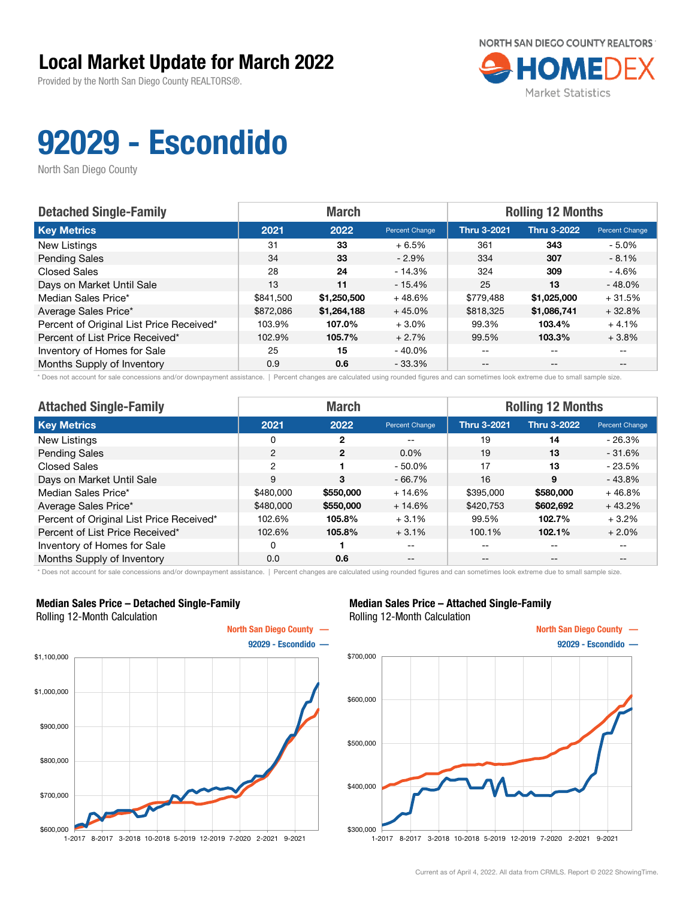Provided by the North San Diego County REALTORS®.



# 92029 - Escondido

North San Diego County

| <b>Detached Single-Family</b>            |           | <b>March</b> |                | <b>Rolling 12 Months</b> |                    |                       |  |
|------------------------------------------|-----------|--------------|----------------|--------------------------|--------------------|-----------------------|--|
| <b>Key Metrics</b>                       | 2021      | 2022         | Percent Change | <b>Thru 3-2021</b>       | <b>Thru 3-2022</b> | <b>Percent Change</b> |  |
| New Listings                             | 31        | 33           | $+6.5%$        | 361                      | 343                | - 5.0%                |  |
| <b>Pending Sales</b>                     | 34        | 33           | $-2.9\%$       | 334                      | 307                | $-8.1%$               |  |
| <b>Closed Sales</b>                      | 28        | 24           | $-14.3%$       | 324                      | 309                | - 4.6%                |  |
| Days on Market Until Sale                | 13        | 11           | $-15.4%$       | 25                       | 13                 | $-48.0%$              |  |
| Median Sales Price*                      | \$841,500 | \$1,250,500  | $+48.6%$       | \$779,488                | \$1,025,000        | $+31.5%$              |  |
| Average Sales Price*                     | \$872,086 | \$1,264,188  | $+45.0%$       | \$818,325                | \$1,086,741        | $+32.8%$              |  |
| Percent of Original List Price Received* | 103.9%    | 107.0%       | $+3.0%$        | 99.3%                    | 103.4%             | $+4.1%$               |  |
| Percent of List Price Received*          | 102.9%    | 105.7%       | $+2.7%$        | 99.5%                    | 103.3%             | $+3.8%$               |  |
| Inventory of Homes for Sale              | 25        | 15           | $-40.0\%$      | $- -$                    | $\qquad \qquad -$  |                       |  |
| Months Supply of Inventory               | 0.9       | 0.6          | $-33.3%$       | $- -$                    | $- -$              |                       |  |

\* Does not account for sale concessions and/or downpayment assistance. | Percent changes are calculated using rounded figures and can sometimes look extreme due to small sample size.

| <b>Attached Single-Family</b>            |                | <b>March</b>   |                | <b>Rolling 12 Months</b> |                   |                |  |
|------------------------------------------|----------------|----------------|----------------|--------------------------|-------------------|----------------|--|
| <b>Key Metrics</b>                       | 2021           | 2022           | Percent Change | <b>Thru 3-2021</b>       | Thru 3-2022       | Percent Change |  |
| New Listings                             | 0              | 2              | --             | 19                       | 14                | $-26.3%$       |  |
| <b>Pending Sales</b>                     | 2              | $\overline{2}$ | $0.0\%$        | 19                       | 13                | $-31.6%$       |  |
| <b>Closed Sales</b>                      | $\overline{2}$ |                | $-50.0%$       | 17                       | 13                | $-23.5%$       |  |
| Days on Market Until Sale                | 9              | 3              | $-66.7%$       | 16                       | 9                 | $-43.8%$       |  |
| Median Sales Price*                      | \$480,000      | \$550,000      | $+14.6%$       | \$395,000                | \$580,000         | $+46.8%$       |  |
| Average Sales Price*                     | \$480,000      | \$550,000      | $+14.6%$       | \$420,753                | \$602,692         | $+43.2%$       |  |
| Percent of Original List Price Received* | 102.6%         | 105.8%         | $+3.1%$        | 99.5%                    | 102.7%            | $+3.2%$        |  |
| Percent of List Price Received*          | 102.6%         | 105.8%         | $+3.1%$        | 100.1%                   | 102.1%            | $+2.0%$        |  |
| Inventory of Homes for Sale              | 0              |                | --             | --                       | $\qquad \qquad -$ | $- -$          |  |
| Months Supply of Inventory               | 0.0            | 0.6            | $- -$          | --                       | $- -$             | $- -$          |  |

\* Does not account for sale concessions and/or downpayment assistance. | Percent changes are calculated using rounded figures and can sometimes look extreme due to small sample size.

#### Median Sales Price – Detached Single-Family Rolling 12-Month Calculation



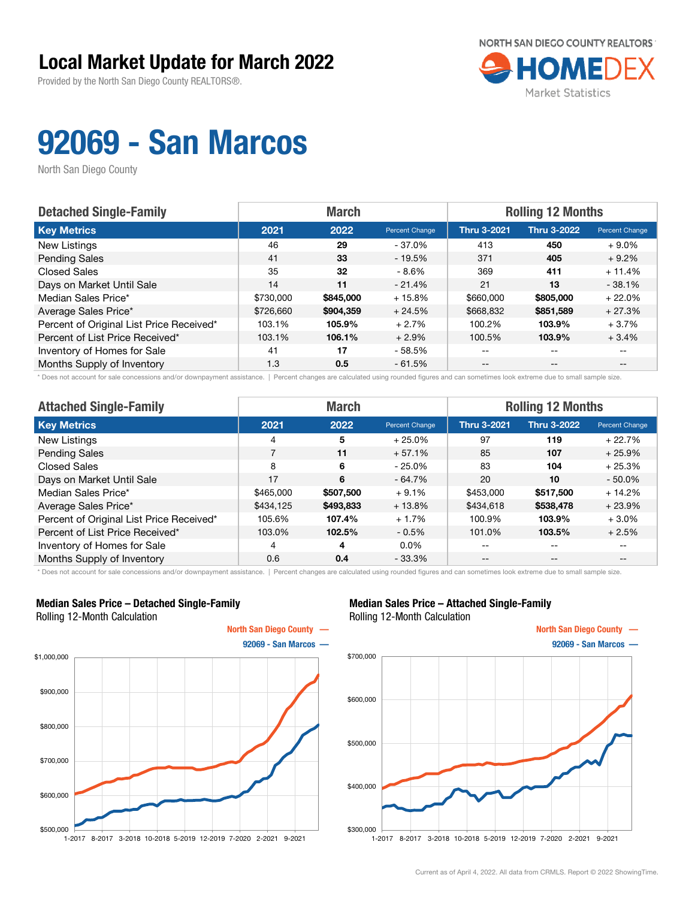Provided by the North San Diego County REALTORS®.



# 92069 - San Marcos

North San Diego County

| <b>Detached Single-Family</b>            | <b>March</b> |           |                | <b>Rolling 12 Months</b> |                    |                |  |
|------------------------------------------|--------------|-----------|----------------|--------------------------|--------------------|----------------|--|
| <b>Key Metrics</b>                       | 2021         | 2022      | Percent Change | <b>Thru 3-2021</b>       | <b>Thru 3-2022</b> | Percent Change |  |
| New Listings                             | 46           | 29        | $-37.0\%$      | 413                      | 450                | $+9.0\%$       |  |
| <b>Pending Sales</b>                     | 41           | 33        | $-19.5%$       | 371                      | 405                | $+9.2%$        |  |
| <b>Closed Sales</b>                      | 35           | 32        | $-8.6%$        | 369                      | 411                | $+11.4%$       |  |
| Days on Market Until Sale                | 14           | 11        | $-21.4%$       | 21                       | 13                 | $-38.1%$       |  |
| Median Sales Price*                      | \$730,000    | \$845,000 | $+15.8%$       | \$660,000                | \$805,000          | $+22.0%$       |  |
| Average Sales Price*                     | \$726,660    | \$904.359 | $+24.5%$       | \$668,832                | \$851,589          | $+27.3%$       |  |
| Percent of Original List Price Received* | 103.1%       | 105.9%    | $+2.7%$        | 100.2%                   | 103.9%             | $+3.7%$        |  |
| Percent of List Price Received*          | 103.1%       | 106.1%    | $+2.9%$        | 100.5%                   | 103.9%             | $+3.4%$        |  |
| Inventory of Homes for Sale              | 41           | 17        | - 58.5%        | $- -$                    | $-$                |                |  |
| Months Supply of Inventory               | 1.3          | 0.5       | $-61.5%$       | $- -$                    | $- -$              |                |  |

\* Does not account for sale concessions and/or downpayment assistance. | Percent changes are calculated using rounded figures and can sometimes look extreme due to small sample size.

| <b>Attached Single-Family</b>            |           | <b>March</b> |                | <b>Rolling 12 Months</b> |                    |                          |  |
|------------------------------------------|-----------|--------------|----------------|--------------------------|--------------------|--------------------------|--|
| <b>Key Metrics</b>                       | 2021      | 2022         | Percent Change | <b>Thru 3-2021</b>       | <b>Thru 3-2022</b> | Percent Change           |  |
| New Listings                             | 4         | 5            | $+25.0%$       | 97                       | 119                | $+22.7%$                 |  |
| <b>Pending Sales</b>                     | 7         | 11           | $+57.1%$       | 85                       | 107                | $+25.9%$                 |  |
| <b>Closed Sales</b>                      | 8         | 6            | $-25.0%$       | 83                       | 104                | $+25.3%$                 |  |
| Days on Market Until Sale                | 17        | 6            | $-64.7%$       | 20                       | 10                 | $-50.0%$                 |  |
| Median Sales Price*                      | \$465,000 | \$507,500    | $+9.1%$        | \$453,000                | \$517,500          | $+14.2%$                 |  |
| Average Sales Price*                     | \$434,125 | \$493,833    | $+13.8%$       | \$434,618                | \$538,478          | $+23.9%$                 |  |
| Percent of Original List Price Received* | 105.6%    | 107.4%       | $+1.7%$        | 100.9%                   | 103.9%             | $+3.0\%$                 |  |
| Percent of List Price Received*          | 103.0%    | 102.5%       | $-0.5\%$       | 101.0%                   | 103.5%             | $+2.5%$                  |  |
| Inventory of Homes for Sale              | 4         | 4            | $0.0\%$        | --                       | $\qquad \qquad -$  | $\overline{\phantom{m}}$ |  |
| Months Supply of Inventory               | 0.6       | 0.4          | $-33.3%$       | $- -$                    | $\qquad \qquad -$  | $- -$                    |  |

\* Does not account for sale concessions and/or downpayment assistance. | Percent changes are calculated using rounded figures and can sometimes look extreme due to small sample size.

#### Median Sales Price – Detached Single-Family Rolling 12-Month Calculation



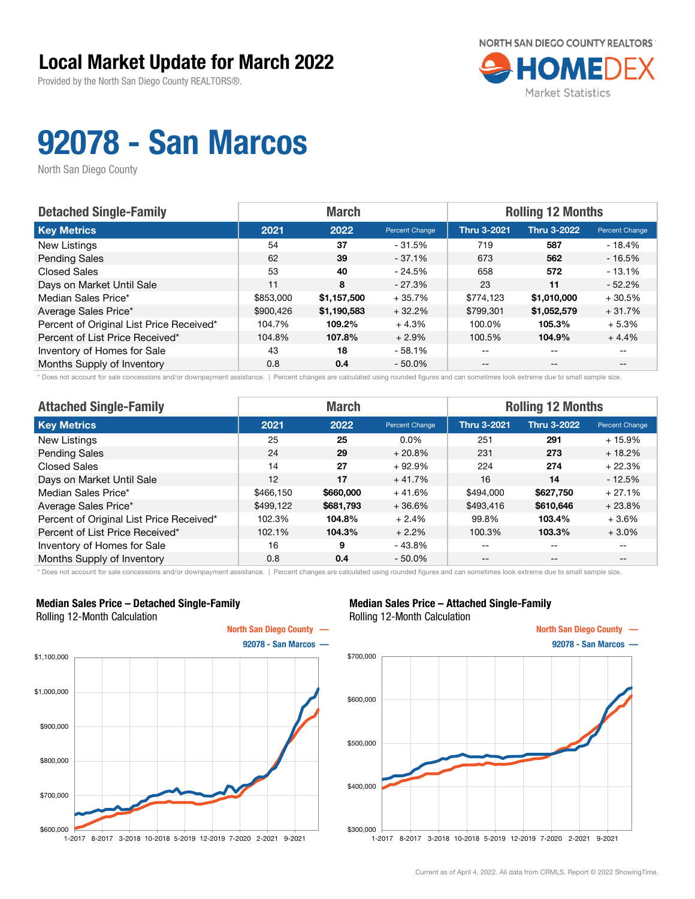Provided by the North San Diego County REALTORS®.



# 92078 - San Marcos

North San Diego County

| <b>Detached Single-Family</b>            |           | <b>March</b> |                | <b>Rolling 12 Months</b> |                    |                       |  |
|------------------------------------------|-----------|--------------|----------------|--------------------------|--------------------|-----------------------|--|
| <b>Key Metrics</b>                       | 2021      | 2022         | Percent Change | <b>Thru 3-2021</b>       | <b>Thru 3-2022</b> | <b>Percent Change</b> |  |
| New Listings                             | 54        | 37           | $-31.5%$       | 719                      | 587                | $-18.4%$              |  |
| <b>Pending Sales</b>                     | 62        | 39           | $-37.1\%$      | 673                      | 562                | $-16.5%$              |  |
| <b>Closed Sales</b>                      | 53        | 40           | $-24.5%$       | 658                      | 572                | $-13.1%$              |  |
| Days on Market Until Sale                | 11        | 8            | $-27.3\%$      | 23                       | 11                 | $-52.2%$              |  |
| Median Sales Price*                      | \$853,000 | \$1,157,500  | $+35.7%$       | \$774,123                | \$1,010,000        | $+30.5%$              |  |
| Average Sales Price*                     | \$900,426 | \$1,190,583  | $+32.2%$       | \$799,301                | \$1,052,579        | $+31.7%$              |  |
| Percent of Original List Price Received* | 104.7%    | 109.2%       | $+4.3%$        | 100.0%                   | 105.3%             | $+5.3%$               |  |
| Percent of List Price Received*          | 104.8%    | 107.8%       | $+2.9%$        | 100.5%                   | 104.9%             | $+4.4%$               |  |
| Inventory of Homes for Sale              | 43        | 18           | $-58.1%$       | --                       | --                 |                       |  |
| Months Supply of Inventory               | 0.8       | 0.4          | $-50.0\%$      | --                       | $-$                | $- -$                 |  |

\* Does not account for sale concessions and/or downpayment assistance. | Percent changes are calculated using rounded figures and can sometimes look extreme due to small sample size.

| <b>Attached Single-Family</b>            |           | <b>March</b> |                | <b>Rolling 12 Months</b> |                    |                          |  |
|------------------------------------------|-----------|--------------|----------------|--------------------------|--------------------|--------------------------|--|
| <b>Key Metrics</b>                       | 2021      | 2022         | Percent Change | <b>Thru 3-2021</b>       | <b>Thru 3-2022</b> | Percent Change           |  |
| New Listings                             | 25        | 25           | $0.0\%$        | 251                      | 291                | $+15.9%$                 |  |
| <b>Pending Sales</b>                     | 24        | 29           | $+20.8%$       | 231                      | 273                | $+18.2%$                 |  |
| <b>Closed Sales</b>                      | 14        | 27           | $+92.9%$       | 224                      | 274                | $+22.3%$                 |  |
| Days on Market Until Sale                | 12        | 17           | $+41.7%$       | 16                       | 14                 | $-12.5%$                 |  |
| Median Sales Price*                      | \$466.150 | \$660,000    | $+41.6%$       | \$494,000                | \$627,750          | $+27.1%$                 |  |
| Average Sales Price*                     | \$499,122 | \$681,793    | $+36.6%$       | \$493,416                | \$610,646          | $+23.8%$                 |  |
| Percent of Original List Price Received* | 102.3%    | 104.8%       | $+2.4%$        | 99.8%                    | 103.4%             | $+3.6%$                  |  |
| Percent of List Price Received*          | 102.1%    | 104.3%       | $+2.2%$        | 100.3%                   | 103.3%             | $+3.0\%$                 |  |
| Inventory of Homes for Sale              | 16        | 9            | $-43.8%$       | --                       | $- -$              | $\overline{\phantom{m}}$ |  |
| Months Supply of Inventory               | 0.8       | 0.4          | $-50.0\%$      | $- -$                    | $\qquad \qquad -$  | $- -$                    |  |

\* Does not account for sale concessions and/or downpayment assistance. | Percent changes are calculated using rounded figures and can sometimes look extreme due to small sample size.

#### Median Sales Price – Detached Single-Family Rolling 12-Month Calculation



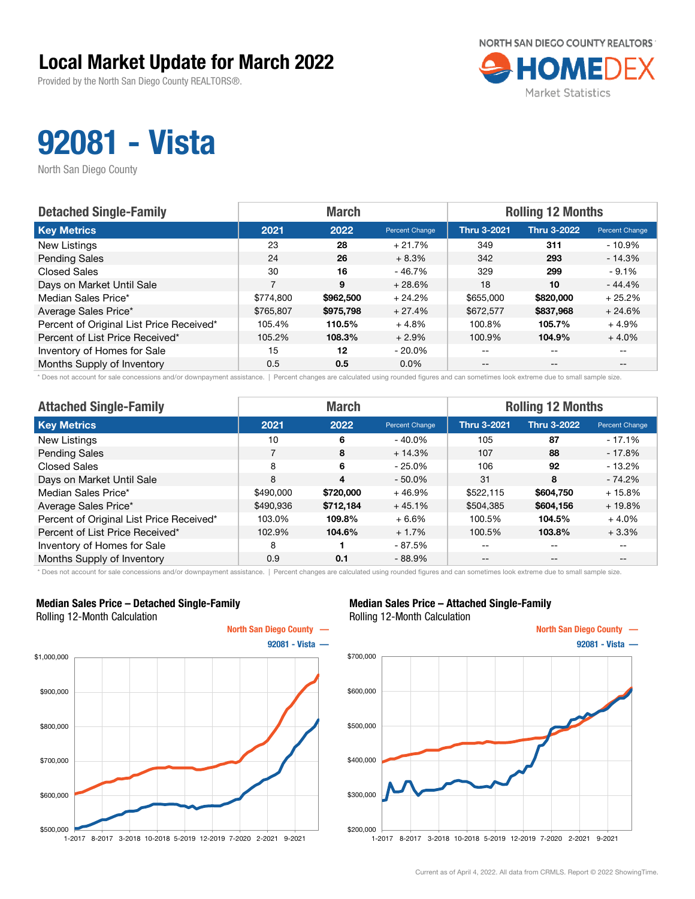Provided by the North San Diego County REALTORS®.



## 92081 - Vista

North San Diego County

| <b>Detached Single-Family</b>            | <b>March</b> |           |                | <b>Rolling 12 Months</b> |                    |                       |  |
|------------------------------------------|--------------|-----------|----------------|--------------------------|--------------------|-----------------------|--|
| <b>Key Metrics</b>                       | 2021         | 2022      | Percent Change | <b>Thru 3-2021</b>       | <b>Thru 3-2022</b> | <b>Percent Change</b> |  |
| New Listings                             | 23           | 28        | $+21.7%$       | 349                      | 311                | $-10.9%$              |  |
| <b>Pending Sales</b>                     | 24           | 26        | $+8.3%$        | 342                      | 293                | $-14.3%$              |  |
| <b>Closed Sales</b>                      | 30           | 16        | $-46.7%$       | 329                      | 299                | $-9.1%$               |  |
| Days on Market Until Sale                | 7            | 9         | $+28.6%$       | 18                       | 10                 | $-44.4%$              |  |
| Median Sales Price*                      | \$774.800    | \$962,500 | $+24.2%$       | \$655,000                | \$820,000          | $+25.2%$              |  |
| Average Sales Price*                     | \$765,807    | \$975,798 | $+27.4%$       | \$672,577                | \$837,968          | $+24.6%$              |  |
| Percent of Original List Price Received* | 105.4%       | 110.5%    | $+4.8%$        | 100.8%                   | 105.7%             | $+4.9%$               |  |
| Percent of List Price Received*          | 105.2%       | 108.3%    | $+2.9%$        | 100.9%                   | 104.9%             | $+4.0%$               |  |
| Inventory of Homes for Sale              | 15           | 12        | $-20.0\%$      | $- -$                    | $\qquad \qquad -$  | $- -$                 |  |
| Months Supply of Inventory               | 0.5          | 0.5       | $0.0\%$        | $- -$                    | $- -$              |                       |  |

\* Does not account for sale concessions and/or downpayment assistance. | Percent changes are calculated using rounded figures and can sometimes look extreme due to small sample size.

| <b>Attached Single-Family</b>            |           | <b>March</b> |                | <b>Rolling 12 Months</b> |                   |                          |  |
|------------------------------------------|-----------|--------------|----------------|--------------------------|-------------------|--------------------------|--|
| <b>Key Metrics</b>                       | 2021      | 2022         | Percent Change | <b>Thru 3-2021</b>       | Thru 3-2022       | Percent Change           |  |
| New Listings                             | 10        | 6            | $-40.0\%$      | 105                      | 87                | $-17.1%$                 |  |
| <b>Pending Sales</b>                     | 7         | 8            | $+14.3%$       | 107                      | 88                | - 17.8%                  |  |
| <b>Closed Sales</b>                      | 8         | 6            | $-25.0%$       | 106                      | 92                | $-13.2\%$                |  |
| Days on Market Until Sale                | 8         | 4            | $-50.0%$       | 31                       | 8                 | $-74.2%$                 |  |
| Median Sales Price*                      | \$490,000 | \$720,000    | $+46.9%$       | \$522,115                | \$604,750         | $+15.8%$                 |  |
| Average Sales Price*                     | \$490,936 | \$712,184    | $+45.1%$       | \$504,385                | \$604,156         | $+19.8%$                 |  |
| Percent of Original List Price Received* | 103.0%    | 109.8%       | $+6.6%$        | 100.5%                   | 104.5%            | $+4.0%$                  |  |
| Percent of List Price Received*          | 102.9%    | 104.6%       | $+1.7%$        | 100.5%                   | 103.8%            | $+3.3%$                  |  |
| Inventory of Homes for Sale              | 8         |              | - 87.5%        | --                       | $\qquad \qquad -$ | $\overline{\phantom{m}}$ |  |
| Months Supply of Inventory               | 0.9       | 0.1          | $-88.9%$       | $- -$                    | $\qquad \qquad -$ | $- -$                    |  |

\* Does not account for sale concessions and/or downpayment assistance. | Percent changes are calculated using rounded figures and can sometimes look extreme due to small sample size.

#### Median Sales Price – Detached Single-Family Rolling 12-Month Calculation



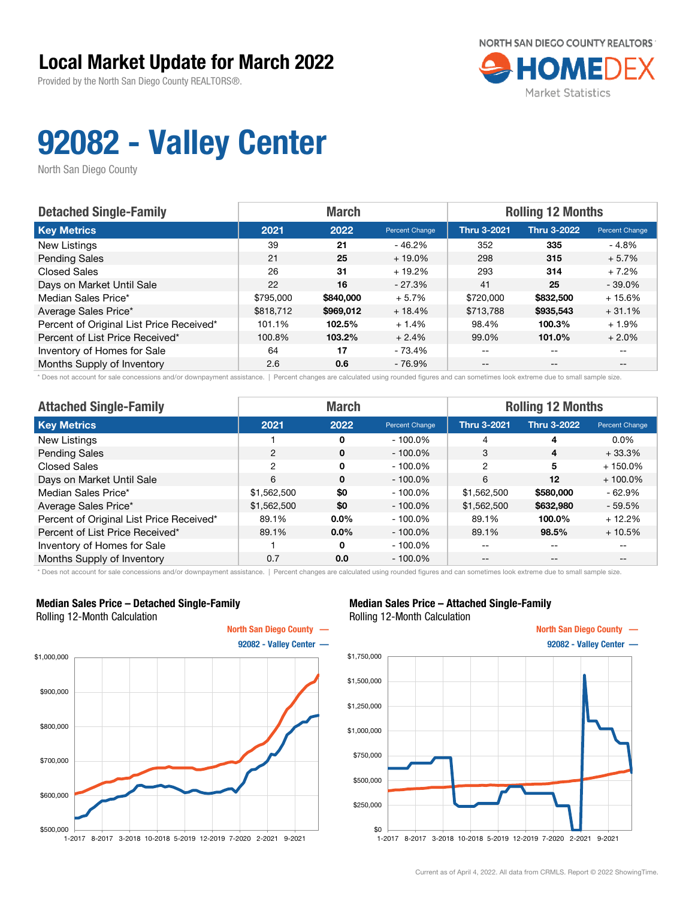Provided by the North San Diego County REALTORS®.

![](_page_9_Picture_2.jpeg)

## 92082 - Valley Center

North San Diego County

| <b>Detached Single-Family</b>            | <b>March</b> |           |                | <b>Rolling 12 Months</b> |                    |                       |  |
|------------------------------------------|--------------|-----------|----------------|--------------------------|--------------------|-----------------------|--|
| <b>Key Metrics</b>                       | 2021         | 2022      | Percent Change | <b>Thru 3-2021</b>       | <b>Thru 3-2022</b> | <b>Percent Change</b> |  |
| New Listings                             | 39           | 21        | $-46.2%$       | 352                      | 335                | - 4.8%                |  |
| <b>Pending Sales</b>                     | 21           | 25        | $+19.0\%$      | 298                      | 315                | $+5.7%$               |  |
| <b>Closed Sales</b>                      | 26           | 31        | $+19.2%$       | 293                      | 314                | $+7.2%$               |  |
| Days on Market Until Sale                | 22           | 16        | $-27.3\%$      | 41                       | 25                 | $-39.0%$              |  |
| Median Sales Price*                      | \$795,000    | \$840,000 | $+5.7%$        | \$720,000                | \$832,500          | $+15.6%$              |  |
| Average Sales Price*                     | \$818,712    | \$969,012 | $+18.4%$       | \$713,788                | \$935,543          | $+31.1%$              |  |
| Percent of Original List Price Received* | 101.1%       | 102.5%    | $+1.4%$        | 98.4%                    | 100.3%             | $+1.9%$               |  |
| Percent of List Price Received*          | 100.8%       | 103.2%    | $+2.4%$        | 99.0%                    | 101.0%             | $+2.0%$               |  |
| Inventory of Homes for Sale              | 64           | 17        | - 73.4%        | --                       | --                 |                       |  |
| Months Supply of Inventory               | 2.6          | 0.6       | - 76.9%        | --                       | $-$                | $- -$                 |  |

\* Does not account for sale concessions and/or downpayment assistance. | Percent changes are calculated using rounded figures and can sometimes look extreme due to small sample size.

| <b>Attached Single-Family</b>            | <b>March</b> |          |                | <b>Rolling 12 Months</b> |                    |                |  |
|------------------------------------------|--------------|----------|----------------|--------------------------|--------------------|----------------|--|
| <b>Key Metrics</b>                       | 2021         | 2022     | Percent Change | <b>Thru 3-2021</b>       | <b>Thru 3-2022</b> | Percent Change |  |
| New Listings                             |              | $\Omega$ | $-100.0\%$     | 4                        | 4                  | $0.0\%$        |  |
| <b>Pending Sales</b>                     | 2            | $\Omega$ | $-100.0\%$     | 3                        | 4                  | $+33.3%$       |  |
| Closed Sales                             | 2            | $\Omega$ | $-100.0\%$     | $\overline{2}$           | 5                  | $+150.0%$      |  |
| Days on Market Until Sale                | 6            | $\Omega$ | $-100.0\%$     | 6                        | 12                 | $+100.0\%$     |  |
| Median Sales Price*                      | \$1,562,500  | \$0      | $-100.0\%$     | \$1,562,500              | \$580,000          | $-62.9%$       |  |
| Average Sales Price*                     | \$1,562,500  | \$0      | $-100.0\%$     | \$1,562,500              | \$632,980          | $-59.5%$       |  |
| Percent of Original List Price Received* | 89.1%        | $0.0\%$  | $-100.0\%$     | 89.1%                    | 100.0%             | $+12.2%$       |  |
| Percent of List Price Received*          | 89.1%        | $0.0\%$  | $-100.0\%$     | 89.1%                    | 98.5%              | $+10.5%$       |  |
| Inventory of Homes for Sale              |              | $\Omega$ | $-100.0\%$     | --                       | --                 | --             |  |
| Months Supply of Inventory               | 0.7          | 0.0      | $-100.0\%$     | $- -$                    | $- -$              | $- -$          |  |

\* Does not account for sale concessions and/or downpayment assistance. | Percent changes are calculated using rounded figures and can sometimes look extreme due to small sample size.

#### Median Sales Price – Detached Single-Family Rolling 12-Month Calculation

![](_page_9_Figure_10.jpeg)

![](_page_9_Figure_12.jpeg)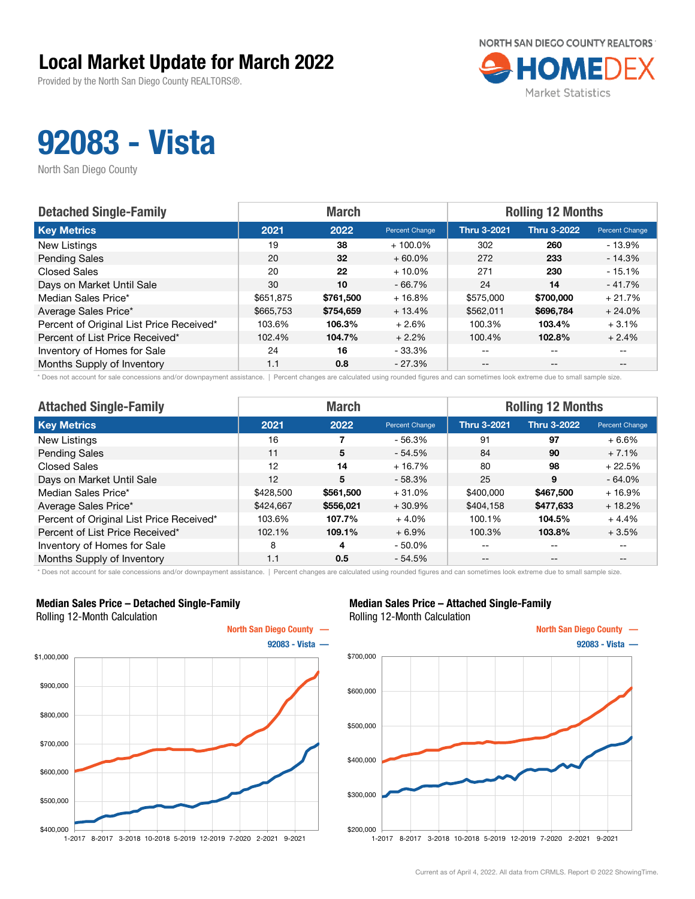Provided by the North San Diego County REALTORS®.

![](_page_10_Picture_2.jpeg)

## 92083 - Vista

North San Diego County

| <b>Detached Single-Family</b>            | <b>March</b> |           |                | <b>Rolling 12 Months</b> |                    |                       |  |
|------------------------------------------|--------------|-----------|----------------|--------------------------|--------------------|-----------------------|--|
| <b>Key Metrics</b>                       | 2021         | 2022      | Percent Change | <b>Thru 3-2021</b>       | <b>Thru 3-2022</b> | <b>Percent Change</b> |  |
| New Listings                             | 19           | 38        | $+100.0\%$     | 302                      | 260                | $-13.9%$              |  |
| <b>Pending Sales</b>                     | 20           | 32        | $+60.0\%$      | 272                      | 233                | $-14.3%$              |  |
| <b>Closed Sales</b>                      | 20           | 22        | $+10.0\%$      | 271                      | 230                | $-15.1%$              |  |
| Days on Market Until Sale                | 30           | 10        | $-66.7%$       | 24                       | 14                 | $-41.7%$              |  |
| Median Sales Price*                      | \$651,875    | \$761.500 | $+16.8%$       | \$575,000                | \$700,000          | $+21.7%$              |  |
| Average Sales Price*                     | \$665,753    | \$754,659 | $+13.4%$       | \$562,011                | \$696,784          | $+24.0%$              |  |
| Percent of Original List Price Received* | 103.6%       | 106.3%    | $+2.6%$        | 100.3%                   | 103.4%             | $+3.1%$               |  |
| Percent of List Price Received*          | 102.4%       | 104.7%    | $+2.2%$        | 100.4%                   | 102.8%             | $+2.4%$               |  |
| Inventory of Homes for Sale              | 24           | 16        | - 33.3%        | $- -$                    | $-$                | $- -$                 |  |
| Months Supply of Inventory               | 1.1          | 0.8       | - 27.3%        | $- -$                    | $- -$              |                       |  |

\* Does not account for sale concessions and/or downpayment assistance. | Percent changes are calculated using rounded figures and can sometimes look extreme due to small sample size.

| <b>Attached Single-Family</b>            |           | <b>March</b> |                | <b>Rolling 12 Months</b> |                    |                          |  |
|------------------------------------------|-----------|--------------|----------------|--------------------------|--------------------|--------------------------|--|
| <b>Key Metrics</b>                       | 2021      | 2022         | Percent Change | <b>Thru 3-2021</b>       | <b>Thru 3-2022</b> | Percent Change           |  |
| New Listings                             | 16        |              | $-56.3%$       | 91                       | 97                 | $+6.6%$                  |  |
| <b>Pending Sales</b>                     | 11        | 5            | $-54.5%$       | 84                       | 90                 | $+7.1%$                  |  |
| <b>Closed Sales</b>                      | 12        | 14           | $+16.7%$       | 80                       | 98                 | $+22.5%$                 |  |
| Days on Market Until Sale                | 12        | 5            | $-58.3%$       | 25                       | 9                  | $-64.0%$                 |  |
| Median Sales Price*                      | \$428,500 | \$561,500    | $+31.0%$       | \$400,000                | \$467,500          | $+16.9%$                 |  |
| Average Sales Price*                     | \$424,667 | \$556,021    | $+30.9%$       | \$404,158                | \$477,633          | $+18.2%$                 |  |
| Percent of Original List Price Received* | 103.6%    | 107.7%       | $+4.0%$        | 100.1%                   | 104.5%             | $+4.4%$                  |  |
| Percent of List Price Received*          | 102.1%    | 109.1%       | $+6.9%$        | 100.3%                   | 103.8%             | $+3.5%$                  |  |
| Inventory of Homes for Sale              | 8         | 4            | $-50.0\%$      | --                       | $\qquad \qquad -$  | $\overline{\phantom{m}}$ |  |
| Months Supply of Inventory               | 1.1       | 0.5          | $-54.5%$       | $- -$                    | $\qquad \qquad -$  | $- -$                    |  |

\* Does not account for sale concessions and/or downpayment assistance. | Percent changes are calculated using rounded figures and can sometimes look extreme due to small sample size.

#### Median Sales Price – Detached Single-Family Rolling 12-Month Calculation

![](_page_10_Figure_10.jpeg)

![](_page_10_Figure_12.jpeg)